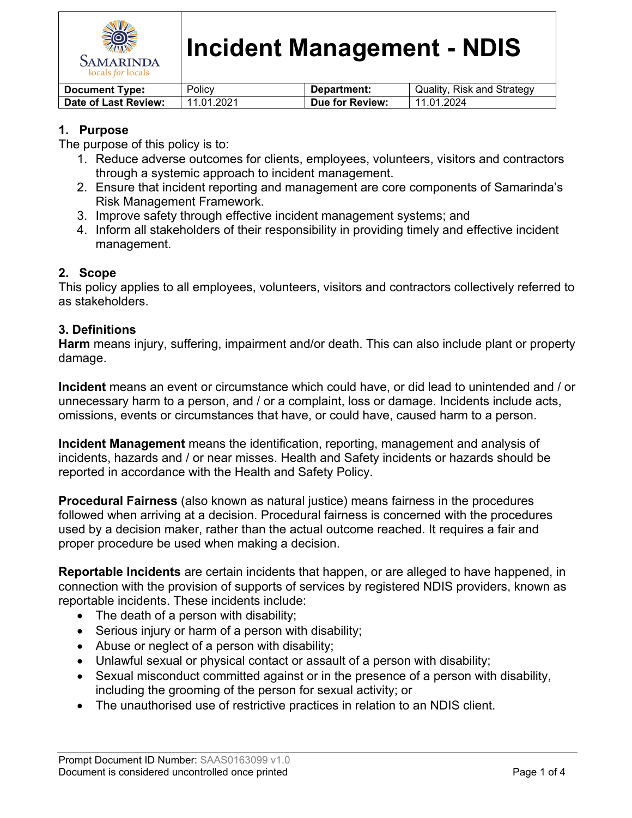

# **Incident Management - NDIS**

| ' Document Type:     | Policv     | Department:     | Quality, Risk and Strategy |
|----------------------|------------|-----------------|----------------------------|
| Date of Last Review: | 11.01.2021 | Due for Review: | 11.01.2024                 |

# **1. Purpose**

The purpose of this policy is to:

- 1. Reduce adverse outcomes for clients, employees, volunteers, visitors and contractors through a systemic approach to incident management.
- 2. Ensure that incident reporting and management are core components of Samarinda's Risk Management Framework.
- 3. Improve safety through effective incident management systems; and
- 4. Inform all stakeholders of their responsibility in providing timely and effective incident management.

# **2. Scope**

This policy applies to all employees, volunteers, visitors and contractors collectively referred to as stakeholders.

### **3. Definitions**

**Harm** means injury, suffering, impairment and/or death. This can also include plant or property damage.

**Incident** means an event or circumstance which could have, or did lead to unintended and / or unnecessary harm to a person, and / or a complaint, loss or damage. Incidents include acts, omissions, events or circumstances that have, or could have, caused harm to a person.

**Incident Management** means the identification, reporting, management and analysis of incidents, hazards and / or near misses. Health and Safety incidents or hazards should be reported in accordance with the Health and Safety Policy.

**Procedural Fairness** (also known as natural justice) means fairness in the procedures followed when arriving at a decision. Procedural fairness is concerned with the procedures used by a decision maker, rather than the actual outcome reached. It requires a fair and proper procedure be used when making a decision.

**Reportable Incidents** are certain incidents that happen, or are alleged to have happened, in connection with the provision of supports of services by registered NDIS providers, known as reportable incidents. These incidents include:

- The death of a person with disability;
- Serious injury or harm of a person with disability;
- Abuse or neglect of a person with disability;
- Unlawful sexual or physical contact or assault of a person with disability;
- Sexual misconduct committed against or in the presence of a person with disability, including the grooming of the person for sexual activity; or
- The unauthorised use of restrictive practices in relation to an NDIS client.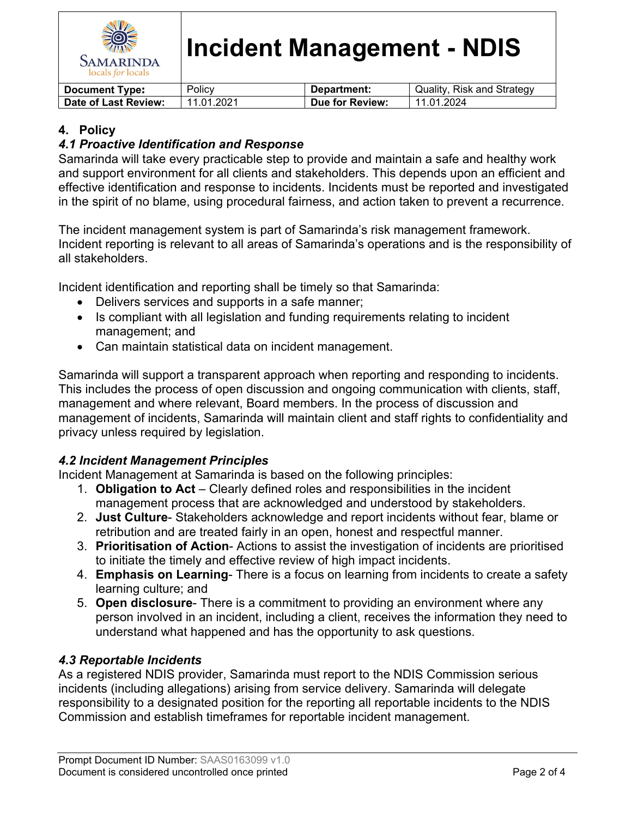

# **Incident Management - NDIS**

| <b>Document Type:</b> | Policy     | Department:     | Quality, Risk and Strategy |
|-----------------------|------------|-----------------|----------------------------|
| Date of Last Review:  | 11.01.2021 | Due for Review: | 11.01.2024                 |

## **4. Policy**

## *4.1 Proactive Identification and Response*

Samarinda will take every practicable step to provide and maintain a safe and healthy work and support environment for all clients and stakeholders. This depends upon an efficient and effective identification and response to incidents. Incidents must be reported and investigated in the spirit of no blame, using procedural fairness, and action taken to prevent a recurrence.

The incident management system is part of Samarinda's risk management framework. Incident reporting is relevant to all areas of Samarinda's operations and is the responsibility of all stakeholders.

Incident identification and reporting shall be timely so that Samarinda:

- Delivers services and supports in a safe manner;
- Is compliant with all legislation and funding requirements relating to incident management; and
- Can maintain statistical data on incident management.

Samarinda will support a transparent approach when reporting and responding to incidents. This includes the process of open discussion and ongoing communication with clients, staff, management and where relevant, Board members. In the process of discussion and management of incidents, Samarinda will maintain client and staff rights to confidentiality and privacy unless required by legislation.

### *4.2 Incident Management Principles*

Incident Management at Samarinda is based on the following principles:

- 1. **Obligation to Act** Clearly defined roles and responsibilities in the incident management process that are acknowledged and understood by stakeholders.
- 2. **Just Culture** Stakeholders acknowledge and report incidents without fear, blame or retribution and are treated fairly in an open, honest and respectful manner.
- 3. **Prioritisation of Action** Actions to assist the investigation of incidents are prioritised to initiate the timely and effective review of high impact incidents.
- 4. **Emphasis on Learning** There is a focus on learning from incidents to create a safety learning culture; and
- 5. **Open disclosure** There is a commitment to providing an environment where any person involved in an incident, including a client, receives the information they need to understand what happened and has the opportunity to ask questions.

# *4.3 Reportable Incidents*

As a registered NDIS provider, Samarinda must report to the NDIS Commission serious incidents (including allegations) arising from service delivery. Samarinda will delegate responsibility to a designated position for the reporting all reportable incidents to the NDIS Commission and establish timeframes for reportable incident management.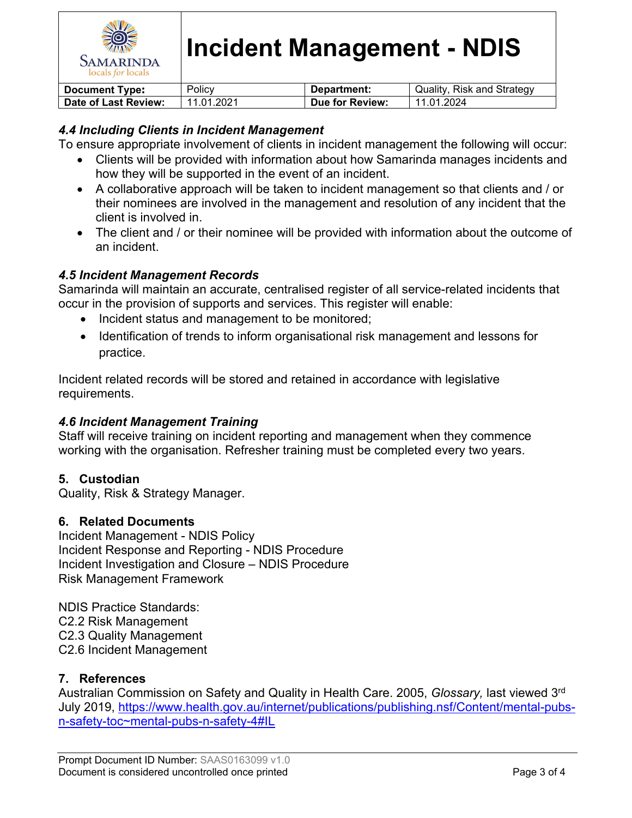

### *4.4 Including Clients in Incident Management*

To ensure appropriate involvement of clients in incident management the following will occur:

- Clients will be provided with information about how Samarinda manages incidents and how they will be supported in the event of an incident.
- A collaborative approach will be taken to incident management so that clients and / or their nominees are involved in the management and resolution of any incident that the client is involved in.
- The client and / or their nominee will be provided with information about the outcome of an incident.

#### *4.5 Incident Management Records*

Samarinda will maintain an accurate, centralised register of all service-related incidents that occur in the provision of supports and services. This register will enable:

- Incident status and management to be monitored;
- Identification of trends to inform organisational risk management and lessons for practice.

Incident related records will be stored and retained in accordance with legislative requirements.

#### *4.6 Incident Management Training*

Staff will receive training on incident reporting and management when they commence working with the organisation. Refresher training must be completed every two years.

#### **5. Custodian**

Quality, Risk & Strategy Manager.

#### **6. Related Documents**

Incident Management - NDIS Policy Incident Response and Reporting - NDIS Procedure Incident Investigation and Closure – NDIS Procedure Risk Management Framework

NDIS Practice Standards: C2.2 Risk Management C2.3 Quality Management C2.6 Incident Management

### **7. References**

Australian Commission on Safety and Quality in Health Care. 2005, *Glossary,* last viewed 3rd July 2019, [https://www.health.gov.au/internet/publications/publishing.nsf/Content/mental-pubs](https://www.health.gov.au/internet/publications/publishing.nsf/Content/mental-pubs-n-safety-toc~mental-pubs-n-safety-4#IL)[n-safety-toc~mental-pubs-n-safety-4#IL](https://www.health.gov.au/internet/publications/publishing.nsf/Content/mental-pubs-n-safety-toc~mental-pubs-n-safety-4#IL)